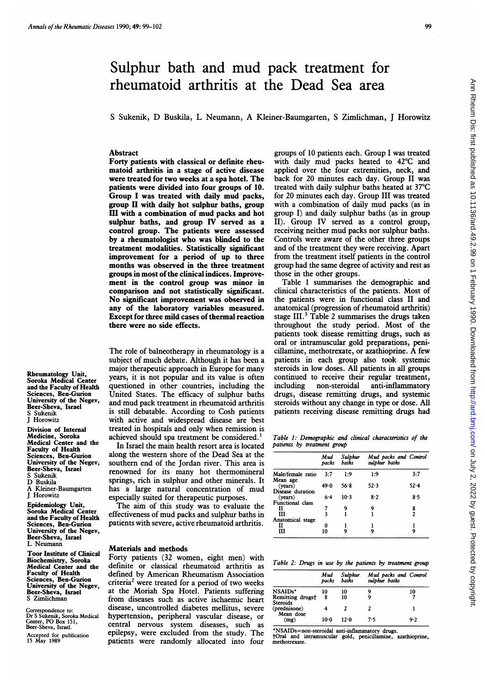# Sulphur bath and mud pack treatment for rheumatoid arthritis at the Dead Sea area

<sup>S</sup> Sukenik, D Buskila, L Neumann, A Kleiner-Baumgarten, <sup>S</sup> Zimlichman, <sup>J</sup> Horowitz

### Abstract

Forty patients with classical or definite rheumatoid arthritis in a stage of active disease were treated for two weeks at a spa hotel. The patients were divided into four groups of 10. Group <sup>I</sup> was treated with daily mud packs, group II with daily hot sulphur baths, group III with a combination of mud packs and hot sulphur baths, and group IV served as a control group. The patients were assessed by a rheumatologist who was blinded to the treatment modalities. Statistically significant improvement for a period of up to three months was observed in the three treatment groups in most of the clinical indices. Improvement in the control group was minor in comparison and not statistically significant. No significant improvement was observed in any of the laboratory variables measured. Except for three mild cases of thermal reaction there were no side effects.

The role of balneotherapy in rheumatology is a subject of much debate. Although it has been a major therapeutic approach in Europe for many years, it is not popular and its value is often questioned in other countries, including the United States. The efficacy of sulphur baths and mud pack treatment in rheumatoid arthritis is still debatable. According to Cosh patients with active and widespread disease are best treated in hospitals and only when remission is achieved should spa treatment be considered.'

In Israel the main health resort area is located along the western shore of the Dead Sea at the southern end of the Jordan river. This area is renowned for its many hot thermomineral springs, rich in sulphur and other minerals. It has <sup>a</sup> large natural concentration of mud especially suited for therapeutic purposes.

The aim of this study was to evaluate the effectiveness of mud packs and sulphur baths in patients with severe, active rheumatoid arthritis.

## Materials and methods

Forty patients (32 women, eight men) with definite or classical rheumatoid arthritis as defined by American Rheumatism Association criteria<sup>2</sup> were treated for a period of two weeks at the Moriah Spa Hotel. Patients suffering from diseases such as active ischaemic heart disease, uncontrolled diabetes mellitus, severe hypertension, peripheral vascular disease, or central nervous system diseases, such as epilepsy, were excluded from the study. The patients were randomly allocated into four

groups of 10 patients each. Group <sup>I</sup> was treated with daily mud packs heated to 42°C and applied over the four extremities, neck, and back for 20 minutes each day. Group II was treated with daily sulphur baths heated at 37°C for 20 minutes each day. Group III was treated with <sup>a</sup> combination of daily mud packs (as in group I) and daily sulphur baths (as in group II). Group IV served as a control group, receiving neither mud packs nor sulphur baths. Controls were aware of the other three groups and of the treatment they were receiving. Apart from the treatment itself patients in the control group had the same degree of activity and rest as those in the other groups.

Table <sup>1</sup> summarises the demographic and clinical characteristics of the patients. Most of the patients were in functional class II and anatomical (progression of rheumatoid arthritis) stage III.<sup>3</sup> Table 2 summarises the drugs taken throughout the study period. Most of the patients took disease remitting drugs, such as oral or intramuscular gold preparations, penicillamine, methotrexate, or azathioprine. A few patients in each group also took systemic steroids in low doses. All patients in all groups continued to receive their regular treatment, including non-steroidal anti-inflammatory drugs, disease remitting drugs, and systemic steroids without any change in type or dose. All patients receiving disease remitting drugs had

Table 1: Demographic and clinical characteristics of the patients by treatment group

|                             | Mud<br>packs | Sulphur<br>baths | Mud packs and Control<br>sulphur baths |          |
|-----------------------------|--------------|------------------|----------------------------------------|----------|
| Male/female ratio           | 3:7          | 1:9              | 1:9                                    | 3:7      |
| Mean age<br>(vears)         | 49∙0         | 56.8             | 52.3                                   | $52 - 4$ |
| Disease duration<br>(years) | $6 - 4$      | $10-3$           | 8.2                                    | 8.5      |
| Functional class<br>п       |              | 9                | 9                                      | 8<br>2   |
| ш<br>Anatomical stage       | 3            |                  |                                        |          |
| п<br>Ш                      | 0<br>10      | 9                | 9                                      | g        |

Table 2: Drugs in use by the patients by treatment group

|                                     | Mud<br>packs | Sulphur<br>baths | Mud packs and Control<br>sulphur baths |     |
|-------------------------------------|--------------|------------------|----------------------------------------|-----|
| NSAIDs*                             | 10           | 10               |                                        | 10  |
| Remitting drugs†<br><b>Steroids</b> | 8            | 10               |                                        |     |
| (prednisone)<br>Mean dose           |              |                  |                                        |     |
| (mg)                                | 10-0         | 12.0             | 7.5                                    | 9.2 |

\*NSAIDs=non-steroidal anti-inflammatory drugs.

tOral and intramuscular gold, penicillamine, azathioprine, methotrexate.

Rheumatology Unit, Soroka Medical Center and the Faculty of Health Sciences, Ben-Gurion University of the Negev, Beer-Sheva, Israel Sukenik J Horowitz

Division of Internal Medicine, Soroka Medical Center and the Faculty of Health Sciences, Ben-Gurion University of the Negev, Beer-Sheva, Israel Sukenik D Buskila Kleiner-Baumgarten J Horowitz

Epidemiology Unit, Soroka Medical Center and the Faculty of Health Sciences, Ben-Gurion University of the Negev, Beer-Sheva, Israel L Neumann

Toor Institute of Clinical Biochemistry, Soroka Medical Center and the Faculty of Health Sciences, Ben-Gurion University of the Negev, Beer-Sheva, Israel S Zimlichman

Correspondence to: Dr S Sukenik, Soroka Medical Center, PO Box 151, Beer-Sheva, Israel.

Accepted for publication <sup>15</sup> May 1989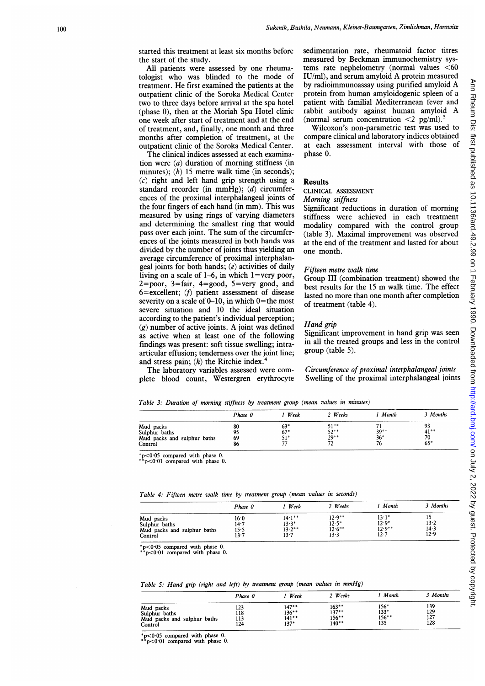started this treatment at least six months before the start of the study.

All patients were assessed by one rheumatologist who was blinded to the mode of treatment. He first examined the patients at the outpatient clinic of the Soroka Medical Center two to three days before arrival at the spa hotel (phase 0), then at the Moriah Spa Hotel clinic one week after start of treatment and at the end of treatment, and, finally, one month and three months after completion of treatment, at the outpatient clinic of the Soroka Medical Center.

The clinical indices assessed at each examination were  $(a)$  duration of morning stiffness (in minutes); (b) 15 metre walk time (in seconds);  $(c)$  right and left hand grip strength using a standard recorder (in mmHg); (d) circumferences of the proximal interphalangeal joints of the four fingers of each hand (in mm). This was measured by using rings of varying diameters and determining the smallest ring that would pass over each joint. The sum of the circumferences of the joints measured in both hands was divided by the number of joints thus yielding an average circumference of proximal interphalangeal joints for both hands;  $(e)$  activities of daily living on a scale of 1-6, in which 1=very poor, 2=poor, 3=fair, 4=good, 5=very good, and  $6$ =excellent; ( $f$ ) patient assessment of disease severity on a scale of  $0$ -10, in which  $0$ =the most severe situation and 10 the ideal situation according to the patient's individual perception;  $(g)$  number of active joints. A joint was defined as active when at least one of the following findings was present: soft tissue swelling; intraarticular effusion; tenderness over the joint line; and stress pain;  $(h)$  the Ritchie index. $\dot{h}$ 

The laboratory variables assessed were complete blood count, Westergren erythrocyte sedimentation rate, rheumatoid factor titres measured by Beckman immunochemistry systems rate nephelometry (normal values  $<$  60 IU/ml), and serum amyloid A protein measured by radioimmunoassay using purified amyloid A protein from human amyloidogenic spleen of <sup>a</sup> patient with familial Mediterranean fever and rabbit antibody against human amyloid A (normal serum concentration  $\leq 2$  pg/ml).

Wilcoxon's non-parametric test was used to compare clinical and laboratory indices obtained at each assessment interval with those of phase 0.

#### Results

#### CLINICAL ASSESSMENT

# Morning stiffness

Significant reductions in duration of morning stiffness were achieved in each treatment modality compared with the control group (table 3). Maximal improvement was observed at the end of the treatment and lasted for about one month.

#### Fifteen metre walk time

Group III (combination treatment) showed the best results for the <sup>15</sup> m walk time. The effect lasted no more than one month after completion of treatment (table 4).

## Hand grip

Significant improvement in hand grip was seen in all the treated groups and less in the control group (table 5).

Circumference of proximal interphalangeal joints Swelling of the proximal interphalangeal joints

Table 3: Duration of morning stiffness by treatment group (mean values in minutes)

|                             | Phase 0 | Week  | 2 Weeks | Month  | 3 Months |
|-----------------------------|---------|-------|---------|--------|----------|
| Mud packs                   | 80      | $63*$ | 51**    |        | 93       |
| Sulphur baths               |         | $67*$ | $52***$ | $39**$ | $41***$  |
| Mud packs and sulphur baths | -69     | 51*   | $29***$ | $36*$  | 70       |
| Control                     | 86      | 77    |         |        | $65*$    |

\*p<0.05 compared with phase 0.

 $p < 0.01$  compared with phase 0.

|                             | Phase 0 | Week      | 2 Weeks   | Month         | 3 Months |
|-----------------------------|---------|-----------|-----------|---------------|----------|
| Mud packs                   | 16.0    | $14.1**$  | $12.9***$ | $13 \cdot 1*$ | 12       |
| Sulphur baths               | 14.7    | $13.3*$   | $12.5*$   | $12.9*$       | 13.2     |
| Mud packs and sulphur baths | 15.5    | $13.2***$ | $12.6***$ | $12.9***$     | 14.3     |
| Control                     | 13.7    | 13.7      | 13.3      | $12 - 7$      | 12.9     |

Table 4: Fifteen metre walk time by treatment group (mean values in seconds)

 $*p<0.05$  compared with phase 0.

 $p<0.01$  compared with phase 0.

Table 5: Hand grip (right and left) by treatment group (mean values in mmHg)

|                             | Phase 0 | Week     | 2 Weeks  | Month    | <sup>3</sup> Months |
|-----------------------------|---------|----------|----------|----------|---------------------|
| Mud packs                   | 123     | $147**$  | 163**    | 156*     | 139                 |
| Sulphur baths               | 118     | $136***$ | $137**$  | $133*$   | 129                 |
| Mud packs and sulphur baths | 113     | $141***$ | $156***$ | $156***$ | 127                 |
| Control                     | 124     | $137*$   | $140**$  | 135      | 128                 |

 $*p<0.05$  compared with phase 0.

 $p<0.01$  compared with phase 0.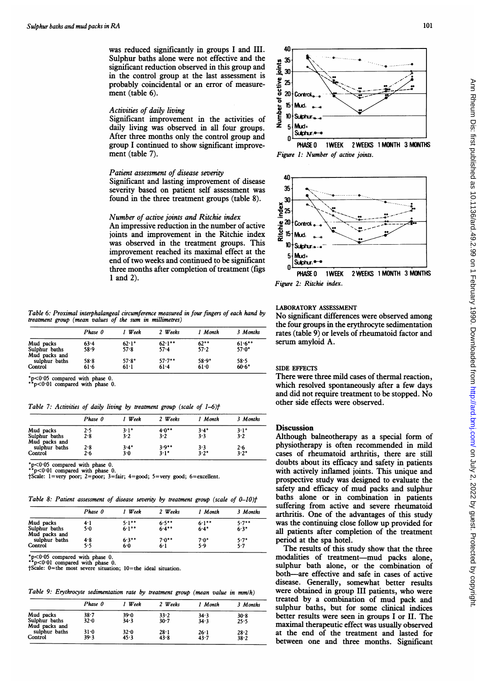was reduced significantly in groups <sup>I</sup> and III. Sulphur baths alone were not effective and the significant reduction observed in this group and in the control group at the last assessment is probably coincidental or an error of measurement (table 6).

## Activities of daily living

Significant improvement in the activities of daily living was observed in all four groups. After three months only the control group and group <sup>I</sup> continued to show significant improvement (table 7).

## Patient assessment of disease severity

Significant and lasting improvement of disease severity based on patient self assessment was found in the three treatment groups (table 8).

#### Number of active joints and Ritchie index

An impressive reduction in the number of active joints and improvement in the Ritchie index was observed in the treatment groups. This improvement reached its maximal effect at the end of two weeks and continued to be significant three months after completion of treatment (figs <sup>1</sup> and 2).

Table 6: Proximal interphalangeal circumference measured in four fingers of each hand by treatment group (mean values of the sum in millimetres)

|                                | Phase 0  | l Week  | 2 Weeks   | 1 Month  | 3 Months  |
|--------------------------------|----------|---------|-----------|----------|-----------|
| Mud packs                      | $63 - 4$ | $62.1*$ | $62.1***$ | $62***$  | $61.6***$ |
| Sulphur baths<br>Mud packs and | 58.9     | 57.8    | $57 - 4$  | 57.2     | $57.0*$   |
| sulphur baths                  | 58.8     | $57.8*$ | $57.7**$  | $58.9*$  | 58.5      |
| Control                        | 61.6     | 61:1    | 61.4      | $61 - 0$ | $60.6*$   |

\*p<0.05 compared with phase 0. p<0.01 compared with phase 0.

Table 7: Activities of daily living by treatment group (scale of  $1-6$ ) $t$ 

|                                | Phase 0 | 1 Week | 2 Weeks | 1 Month | 3 Months |
|--------------------------------|---------|--------|---------|---------|----------|
| Mud packs                      | 2.5     | $3.1*$ | $4.0**$ | $3.4*$  | $3.1*$   |
| Sulphur baths<br>Mud packs and | 2.8     | 3.2    | 3.2     | 3.3     | 3.2      |
| sulphur baths                  | 2.8     | $3.4*$ | $3.9**$ | 3.3     | 2.6      |
| Control                        | 2.6     | $3-0$  | $3.1*$  | $3.2*$  | $3.2*$   |

 $*p<0.05$  compared with phase 0.  $< 0.01$  compared with phase 0.

 $\frac{1}{2}$ tscale: 1=very poor; 2=poor; 3=fair; 4=good; 5=very good; 6=excellent.

Table 8: Patient assessment of disease severity by treatment group (scale of  $0-10$ )t

|                                | Phase 0 | Week     | 2 Weeks  | 1 Month  | 3 Months |
|--------------------------------|---------|----------|----------|----------|----------|
| Mud packs                      | 4.1     | $5.1***$ | $6.5***$ | $6.1***$ | $5.7**$  |
| Sulphur baths<br>Mud packs and | 5.0     | $6.1***$ | $6.4***$ | $6.4*$   | $6.3*$   |
| sulphur baths                  | 4.8     | $6.3***$ | $7.0**$  | $7.0*$   | $5.7*$   |
| Control                        | 5.5     | 6.0      | $6-1$    | 5.9      | 5.7      |

\*p<0·05 compared with phase 0.<br>\*\*p<0·01 compared with phase 0.<br>†Scale: 0=the most severe situation; 10=the ideal situation.

Table 9: Erythrocyte sedimentation rate by treatment group (mean value in mm/h)

|                                           | Phase 0      | l Week       | 2 Weeks          | 1 Month      | 3 Months     |
|-------------------------------------------|--------------|--------------|------------------|--------------|--------------|
| Mud packs<br>Sulphur baths                | 38.7<br>32.0 | 39.0<br>34.3 | 33.2<br>30.7     | 34.3<br>34.3 | 30.8<br>25.5 |
| Mud packs and<br>sulphur baths<br>Control | 31.0<br>39.3 | 32.0<br>45.3 | $28 - 1$<br>43.8 | 26:1<br>43.7 | 28.2<br>38.2 |







Figure 2: Ritchie index.

## LABORATORY ASSESSMENT

No significant differences were observed among the four groups in the erythrocyte sedimentation rates (table 9) or levels of rheumatoid factor and serum amyloid A.

### SIDE EFFECTS

There were three mild cases of thermal reaction, which resolved spontaneously after a few days and did not require treatment to be stopped. No other side effects were observed.

## **Discussion**

Although balneotherapy as a special form of physiotherapy is often recommended in mild cases of rheumatoid arthritis, there are still doubts about its efficacy and safety in patients with actively inflamed joints. This unique and prospective study was designed to evaluate the safety and efficacy of mud packs and sulphur baths alone or in combination in patients suffering from active and severe rheumatoid arthritis. One of the advantages of this study was the continuing close follow up provided for all patients after completion of the treatment period at the spa hotel.

The results of this study show that the three modalities of treatment-mud packs alone, sulphur bath alone, or the combination of both-are effective and safe in cases of active disease. Generally, somewhat better results were obtained in group III patients, who were treated by <sup>a</sup> combination of mud pack and sulphur baths, but for some clinical indices better results were seen in groups <sup>I</sup> or II. The maximal therapeutic effect was usually observed at the end of the treatment and lasted for between one and three months. Significant